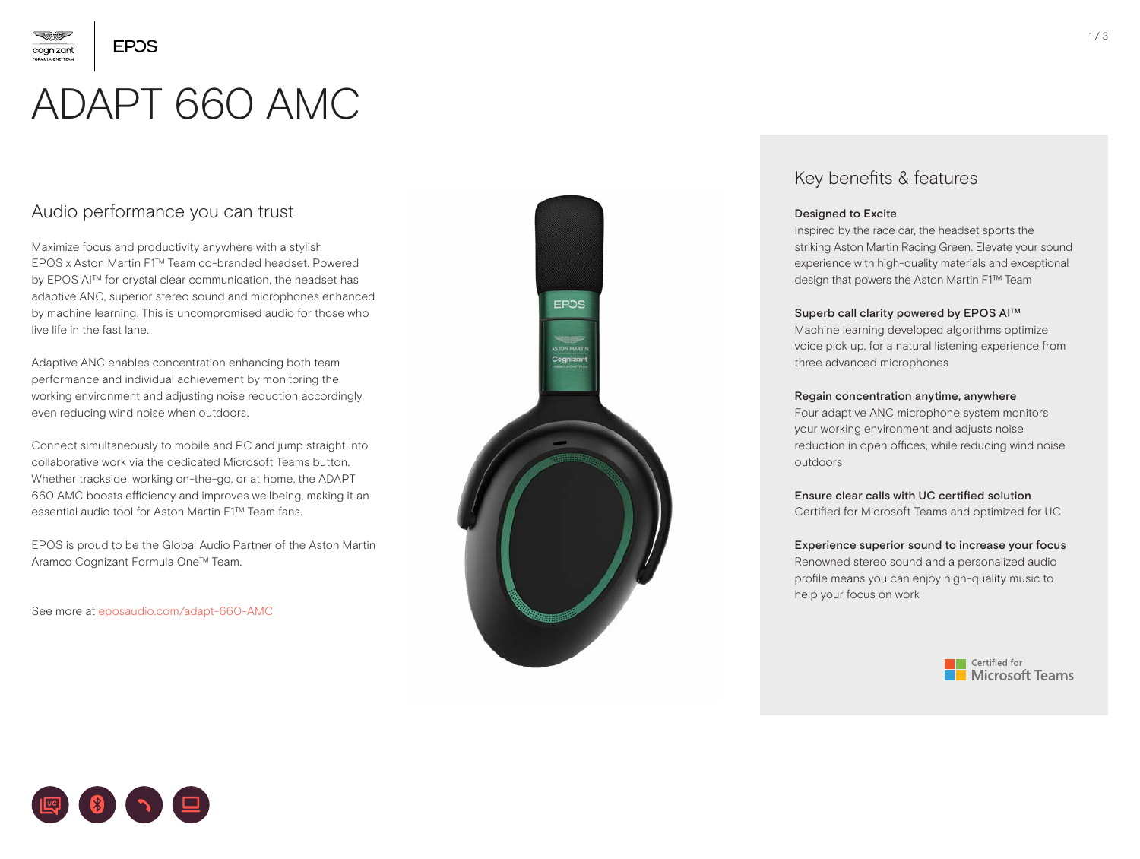

cognizant

# ADAPT 660 AMC

## Audio performance you can trust

Maximize focus and productivity anywhere with a stylish EPOS x Aston Martin F1™ Team co-branded headset. Powered by EPOS AI™ for crystal clear communication, the headset has adaptive ANC, superior stereo sound and microphones enhanced by machine learning. This is uncompromised audio for those who live life in the fast lane.

Adaptive ANC enables concentration enhancing both team performance and individual achievement by monitoring the working environment and adjusting noise reduction accordingly, even reducing wind noise when outdoors.

Connect simultaneously to mobile and PC and jump straight into collaborative work via the dedicated Microsoft Teams button. Whether trackside, working on-the-go, or at home, the ADAPT 660 AMC boosts efficiency and improves wellbeing, making it an essential audio tool for Aston Martin F1™ Team fans.

EPOS is proud to be the Global Audio Partner of the Aston Martin Aramco Cognizant Formula One™ Team.

See more at [eposaudio.com/adapt-660-AMC](https://www.eposaudio.com/en/dk/adapt-660-amc)



## Key benefits & features

### Designed to Excite

Inspired by the race car, the headset sports the striking Aston Martin Racing Green. Elevate your sound experience with high-quality materials and exceptional design that powers the Aston Martin F1™ Team

### Superb call clarity powered by EPOS AI™

Machine learning developed algorithms optimize voice pick up, for a natural listening experience from three advanced microphones

### Regain concentration anytime, anywhere

Four adaptive ANC microphone system monitors your working environment and adjusts noise reduction in open offices, while reducing wind noise outdoors

### Ensure clear calls with UC certified solution

Certified for Microsoft Teams and optimized for UC

Experience superior sound to increase your focus Renowned stereo sound and a personalized audio profile means you can enjoy high-quality music to help your focus on work



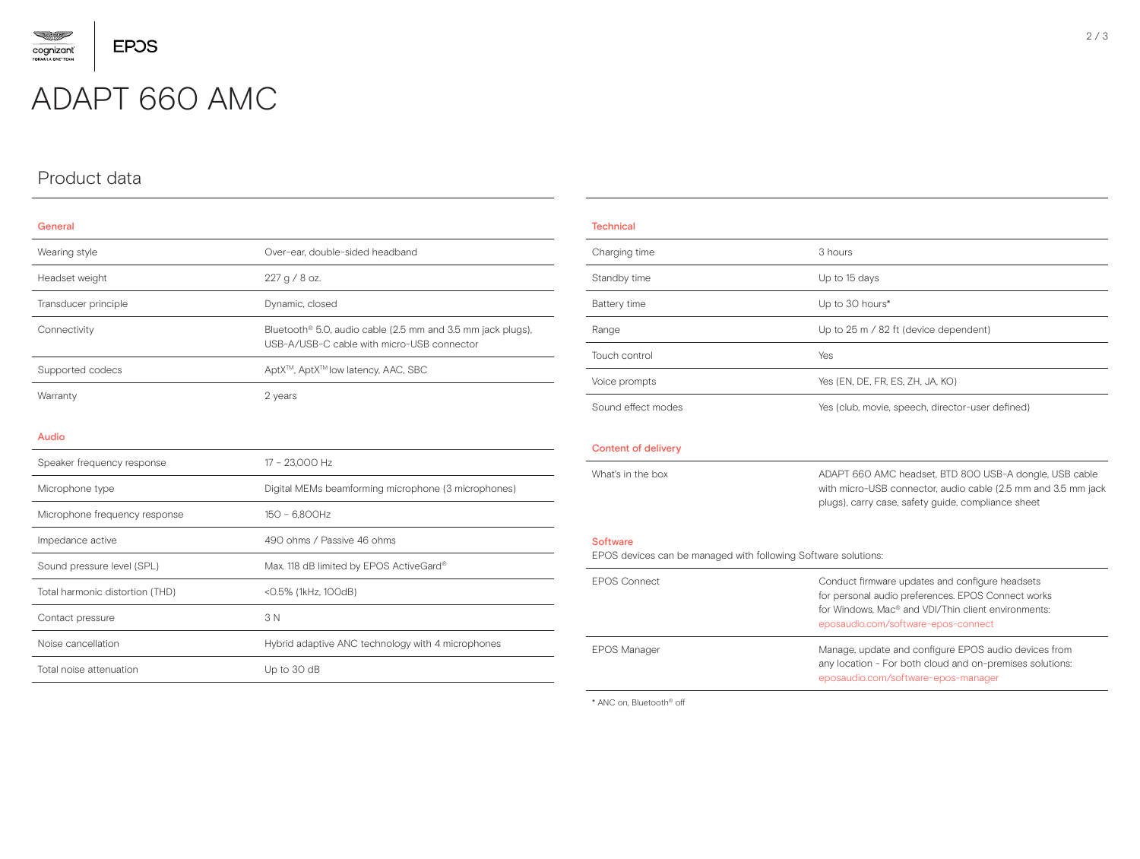

## ADAPT 660 AMC

## Product data

#### General

| Wearing style        | Over-ear, double-sided headband                                                                                       |
|----------------------|-----------------------------------------------------------------------------------------------------------------------|
| Headset weight       | 227 g / 8 oz.                                                                                                         |
| Transducer principle | Dynamic, closed                                                                                                       |
| Connectivity         | Bluetooth <sup>®</sup> 5.0, audio cable (2.5 mm and 3.5 mm jack plugs),<br>USB-A/USB-C cable with micro-USB connector |
| Supported codecs     | AptX™, AptX™ low latency, AAC, SBC                                                                                    |
| Warranty             | 2 years                                                                                                               |

#### Audio

| Speaker frequency response      | 17 - 23.000 Hz                                      |  |
|---------------------------------|-----------------------------------------------------|--|
| Microphone type                 | Digital MEMs beamforming microphone (3 microphones) |  |
| Microphone frequency response   | 150 - 6.800Hz                                       |  |
| Impedance active                | 490 ohms / Passive 46 ohms                          |  |
| Sound pressure level (SPL)      | Max. 118 dB limited by EPOS ActiveGard®             |  |
| Total harmonic distortion (THD) | <0.5% (1kHz, 100dB)                                 |  |
| Contact pressure                | 3 N                                                 |  |
| Noise cancellation              | Hybrid adaptive ANC technology with 4 microphones   |  |
| Total noise attenuation         | Up to 30 dB                                         |  |

## **Technical** Charging time 3 hours Standby time Up to 15 days Battery time Up to 30 hours\* Range Up to 25 m / 82 ft (device dependent) Touch control Yes Voice prompts Yes (EN, DE, FR, ES, ZH, JA, KO) Sound effect modes Yes (club, movie, speech, director-user defined) Content of delivery What's in the box **ADAPT 660 AMC headset, BTD 800 USB-A dongle, USB cable** with micro-USB connector, audio cable (2.5 mm and 3.5 mm jack plugs), carry case, safety guide, compliance sheet Software EPOS devices can be managed with following Software solutions: EPOS Connect Conduct firmware updates and configure headsets for personal audio preferences. EPOS Connect works for Windows, Mac® and VDI/Thin client environments: eposaudio.com/software-epos-connect EPOS Manager **Manage, update and configure EPOS audio devices from** any location - For both cloud and on-premises solutions:

eposaudio.com/software-epos-manager

\* ANC on, Bluetooth® off